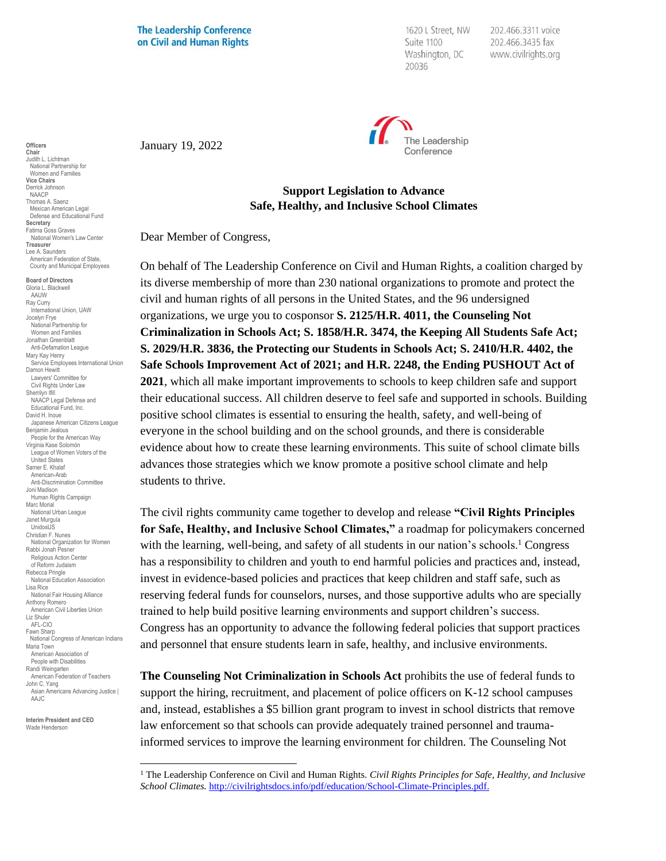**The Leadership Conference** on Civil and Human Rights

1620 L Street, NW Suite 1100 Washington, DC 20036

202.466.3311 voice 202.466.3435 fax www.civilrights.org



January 19, 2022

## **Support Legislation to Advance Safe, Healthy, and Inclusive School Climates**

Dear Member of Congress,

On behalf of The Leadership Conference on Civil and Human Rights, a coalition charged by its diverse membership of more than 230 national organizations to promote and protect the civil and human rights of all persons in the United States, and the 96 undersigned organizations, we urge you to cosponsor **S. 2125/H.R. 4011, the Counseling Not Criminalization in Schools Act; S. 1858/H.R. 3474, the Keeping All Students Safe Act; S. 2029/H.R. 3836, the Protecting our Students in Schools Act; S. 2410/H.R. 4402, the Safe Schools Improvement Act of 2021; and H.R. 2248, the Ending PUSHOUT Act of 2021**, which all make important improvements to schools to keep children safe and support their educational success. All children deserve to feel safe and supported in schools. Building positive school climates is essential to ensuring the health, safety, and well-being of everyone in the school building and on the school grounds, and there is considerable evidence about how to create these learning environments. This suite of school climate bills advances those strategies which we know promote a positive school climate and help students to thrive.

The civil rights community came together to develop and release **"Civil Rights Principles for Safe, Healthy, and Inclusive School Climates,"** a roadmap for policymakers concerned with the learning, well-being, and safety of all students in our nation's schools.<sup>1</sup> Congress has a responsibility to children and youth to end harmful policies and practices and, instead, invest in evidence-based policies and practices that keep children and staff safe, such as reserving federal funds for counselors, nurses, and those supportive adults who are specially trained to help build positive learning environments and support children's success. Congress has an opportunity to advance the following federal policies that support practices and personnel that ensure students learn in safe, healthy, and inclusive environments.

**The Counseling Not Criminalization in Schools Act** prohibits the use of federal funds to support the hiring, recruitment, and placement of police officers on K-12 school campuses and, instead, establishes a \$5 billion grant program to invest in school districts that remove law enforcement so that schools can provide adequately trained personnel and traumainformed services to improve the learning environment for children. The Counseling Not

**Officers Chair** Judith L. Lichtman National Partnership for Women and Families **Vice Chairs** Derrick Johnson NAACP Thomas A. Saenz Mexican American Legal Defense and Educational Fund **Secretary** Fatima Goss Graves National Women's Law Center **Treasurer** Lee A. Saunders American Federation of State, County and Municipal Employees

**Board of Directors** Gloria L. Blackwell AAUW Ray Curry uy Garry<br>International Union, UAW Jocelyn Frye National Partnership for Women and Families Jonathan Greenblatt Anti-Defamation League Mary Kay Henry Service Employees International Union Damon Hewitt Lawyers' Committee for Civil Rights Under Law Sherrilyn Ifill NAACP Legal Defense and Educational Fund, Inc. David H. Inoue Japanese American Citizens League Benjamin Jealous People for the American Way Virginia Kase Solomón League of Women Voters of the United States Samer E. Khalaf American-Arab Anti-Discrimination Committee Joni Madison Human Rights Campaign Marc Morial National Urban League Janet Murguía UnidosUS Christian F. Nunes National Organization for Women Rabbi Jonah Pesner Religious Action Center of Reform Judaism Rebecca Pringle National Education Association Lisa Rice National Fair Housing Alliance Anthony Romero American Civil Liberties Union Liz Shuler AFL-CIO Fawn Sharp National Congress of American Indians Maria Town American Association of People with Disabilities Randi Weingarten American Federation of Teachers John C. Yang Asian Americans Advancing Justice | AAJC

**Interim President and CEO** Wade Henderson

<sup>1</sup> The Leadership Conference on Civil and Human Rights. *Civil Rights Principles for Safe, Healthy, and Inclusive School Climates.* [http://civilrightsdocs.info/pdf/education/School-Climate-Principles.pdf.](http://civilrightsdocs.info/pdf/education/School-Climate-Principles.pdf)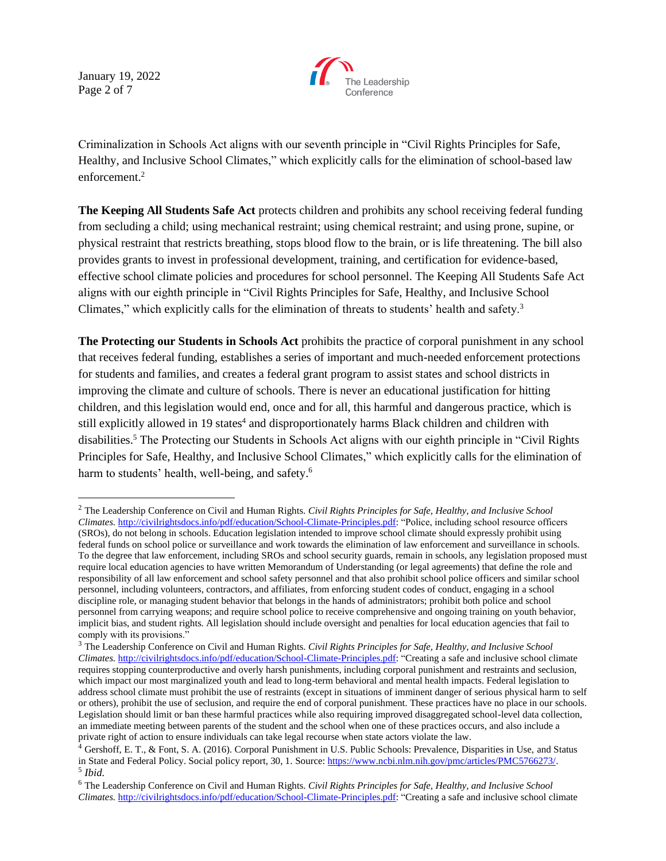January 19, 2022 Page 2 of 7



Criminalization in Schools Act aligns with our seventh principle in "Civil Rights Principles for Safe, Healthy, and Inclusive School Climates," which explicitly calls for the elimination of school-based law enforcement. 2

**The Keeping All Students Safe Act** protects children and prohibits any school receiving federal funding from secluding a child; using mechanical restraint; using chemical restraint; and using prone, supine, or physical restraint that restricts breathing, stops blood flow to the brain, or is life threatening. The bill also provides grants to invest in professional development, training, and certification for evidence-based, effective school climate policies and procedures for school personnel. The Keeping All Students Safe Act aligns with our eighth principle in "Civil Rights Principles for Safe, Healthy, and Inclusive School Climates," which explicitly calls for the elimination of threats to students' health and safety.<sup>3</sup>

**The Protecting our Students in Schools Act** prohibits the practice of corporal punishment in any school that receives federal funding, establishes a series of important and much-needed enforcement protections for students and families, and creates a federal grant program to assist states and school districts in improving the climate and culture of schools. There is never an educational justification for hitting children, and this legislation would end, once and for all, this harmful and dangerous practice, which is still explicitly allowed in 19 states<sup>4</sup> and disproportionately harms Black children and children with disabilities.<sup>5</sup> The Protecting our Students in Schools Act aligns with our eighth principle in "Civil Rights Principles for Safe, Healthy, and Inclusive School Climates," which explicitly calls for the elimination of harm to students' health, well-being, and safety.<sup>6</sup>

<sup>2</sup> The Leadership Conference on Civil and Human Rights. *Civil Rights Principles for Safe, Healthy, and Inclusive School Climates.* [http://civilrightsdocs.info/pdf/education/School-Climate-Principles.pdf:](http://civilrightsdocs.info/pdf/education/School-Climate-Principles.pdf) "Police, including school resource officers (SROs), do not belong in schools. Education legislation intended to improve school climate should expressly prohibit using federal funds on school police or surveillance and work towards the elimination of law enforcement and surveillance in schools. To the degree that law enforcement, including SROs and school security guards, remain in schools, any legislation proposed must require local education agencies to have written Memorandum of Understanding (or legal agreements) that define the role and responsibility of all law enforcement and school safety personnel and that also prohibit school police officers and similar school personnel, including volunteers, contractors, and affiliates, from enforcing student codes of conduct, engaging in a school discipline role, or managing student behavior that belongs in the hands of administrators; prohibit both police and school personnel from carrying weapons; and require school police to receive comprehensive and ongoing training on youth behavior, implicit bias, and student rights. All legislation should include oversight and penalties for local education agencies that fail to comply with its provisions."

<sup>3</sup> The Leadership Conference on Civil and Human Rights. *Civil Rights Principles for Safe, Healthy, and Inclusive School Climates.* [http://civilrightsdocs.info/pdf/education/School-Climate-Principles.pdf:](http://civilrightsdocs.info/pdf/education/School-Climate-Principles.pdf) "Creating a safe and inclusive school climate requires stopping counterproductive and overly harsh punishments, including corporal punishment and restraints and seclusion, which impact our most marginalized youth and lead to long-term behavioral and mental health impacts. Federal legislation to address school climate must prohibit the use of restraints (except in situations of imminent danger of serious physical harm to self or others), prohibit the use of seclusion, and require the end of corporal punishment. These practices have no place in our schools. Legislation should limit or ban these harmful practices while also requiring improved disaggregated school-level data collection, an immediate meeting between parents of the student and the school when one of these practices occurs, and also include a private right of action to ensure individuals can take legal recourse when state actors violate the law.

<sup>&</sup>lt;sup>4</sup> Gershoff, E. T., & Font, S. A. (2016). Corporal Punishment in U.S. Public Schools: Prevalence, Disparities in Use, and Status in State and Federal Policy. Social policy report, 30, 1. Source[: https://www.ncbi.nlm.nih.gov/pmc/articles/PMC5766273/.](https://www.ncbi.nlm.nih.gov/pmc/articles/PMC5766273/) 5 *Ibid.*

<sup>6</sup> The Leadership Conference on Civil and Human Rights. *Civil Rights Principles for Safe, Healthy, and Inclusive School Climates.* [http://civilrightsdocs.info/pdf/education/School-Climate-Principles.pdf:](http://civilrightsdocs.info/pdf/education/School-Climate-Principles.pdf) "Creating a safe and inclusive school climate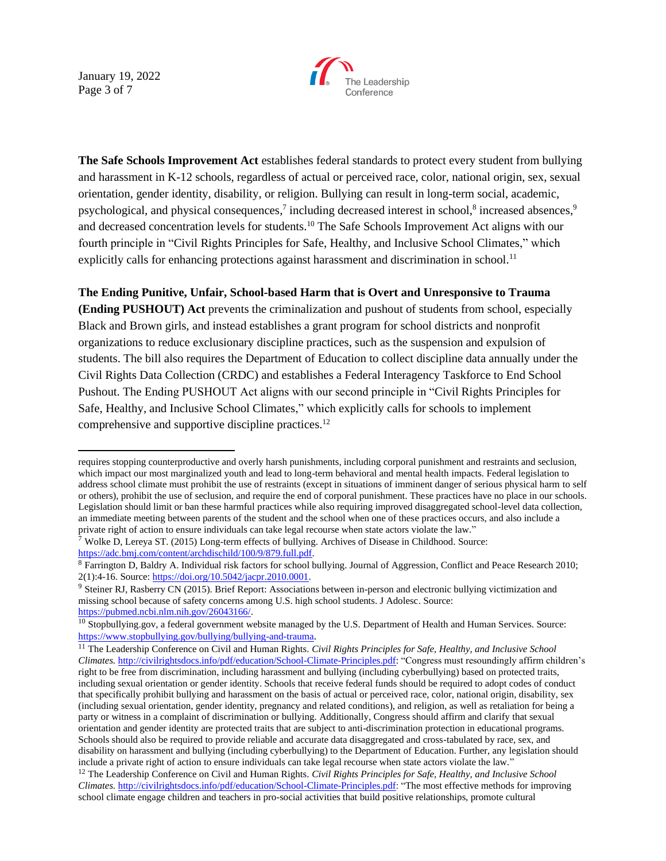January 19, 2022 Page 3 of 7



**The Safe Schools Improvement Act** establishes federal standards to protect every student from bullying and harassment in K-12 schools, regardless of actual or perceived race, color, national origin, sex, sexual orientation, gender identity, disability, or religion. Bullying can result in long-term social, academic, psychological, and physical consequences,<sup>7</sup> including decreased interest in school,<sup>8</sup> increased absences,<sup>9</sup> and decreased concentration levels for students.<sup>10</sup> The Safe Schools Improvement Act aligns with our fourth principle in "Civil Rights Principles for Safe, Healthy, and Inclusive School Climates," which explicitly calls for enhancing protections against harassment and discrimination in school.<sup>11</sup>

## **The Ending Punitive, Unfair, School-based Harm that is Overt and Unresponsive to Trauma**

**(Ending PUSHOUT) Act** prevents the criminalization and pushout of students from school, especially Black and Brown girls, and instead establishes a grant program for school districts and nonprofit organizations to reduce exclusionary discipline practices, such as the suspension and expulsion of students. The bill also requires the Department of Education to collect discipline data annually under the Civil Rights Data Collection (CRDC) and establishes a Federal Interagency Taskforce to End School Pushout. The Ending PUSHOUT Act aligns with our second principle in "Civil Rights Principles for Safe, Healthy, and Inclusive School Climates," which explicitly calls for schools to implement comprehensive and supportive discipline practices.<sup>12</sup>

requires stopping counterproductive and overly harsh punishments, including corporal punishment and restraints and seclusion, which impact our most marginalized youth and lead to long-term behavioral and mental health impacts. Federal legislation to address school climate must prohibit the use of restraints (except in situations of imminent danger of serious physical harm to self or others), prohibit the use of seclusion, and require the end of corporal punishment. These practices have no place in our schools. Legislation should limit or ban these harmful practices while also requiring improved disaggregated school-level data collection, an immediate meeting between parents of the student and the school when one of these practices occurs, and also include a private right of action to ensure individuals can take legal recourse when state actors violate the law."

 $7$  Wolke D, Lereya ST. (2015) Long-term effects of bullying. Archives of Disease in Childhood. Source: [https://adc.bmj.com/content/archdischild/100/9/879.full.pdf.](https://adc.bmj.com/content/archdischild/100/9/879.full.pdf)

<sup>8</sup> Farrington D, Baldry A. Individual risk factors for school bullying. Journal of Aggression, Conflict and Peace Research 2010; 2(1):4-16. Source: [https://doi.org/10.5042/jacpr.2010.0001.](https://doi.org/10.5042/jacpr.2010.0001)

<sup>&</sup>lt;sup>9</sup> Steiner RJ, Rasberry CN (2015). Brief Report: Associations between in-person and electronic bullying victimization and missing school because of safety concerns among U.S. high school students. J Adolesc. Source: [https://pubmed.ncbi.nlm.nih.gov/26043166/.](https://pubmed.ncbi.nlm.nih.gov/26043166/)

<sup>&</sup>lt;sup>10</sup> Stopbullying.gov, a federal government website managed by the U.S. Department of Health and Human Services. Source: <https://www.stopbullying.gov/bullying/bullying-and-trauma>.

<sup>11</sup> The Leadership Conference on Civil and Human Rights. *Civil Rights Principles for Safe, Healthy, and Inclusive School Climates.* [http://civilrightsdocs.info/pdf/education/School-Climate-Principles.pdf:](http://civilrightsdocs.info/pdf/education/School-Climate-Principles.pdf) "Congress must resoundingly affirm children's right to be free from discrimination, including harassment and bullying (including cyberbullying) based on protected traits, including sexual orientation or gender identity. Schools that receive federal funds should be required to adopt codes of conduct that specifically prohibit bullying and harassment on the basis of actual or perceived race, color, national origin, disability, sex (including sexual orientation, gender identity, pregnancy and related conditions), and religion, as well as retaliation for being a party or witness in a complaint of discrimination or bullying. Additionally, Congress should affirm and clarify that sexual orientation and gender identity are protected traits that are subject to anti-discrimination protection in educational programs. Schools should also be required to provide reliable and accurate data disaggregated and cross-tabulated by race, sex, and disability on harassment and bullying (including cyberbullying) to the Department of Education. Further, any legislation should include a private right of action to ensure individuals can take legal recourse when state actors violate the law."

<sup>12</sup> The Leadership Conference on Civil and Human Rights. *Civil Rights Principles for Safe, Healthy, and Inclusive School Climates.* [http://civilrightsdocs.info/pdf/education/School-Climate-Principles.pdf:](http://civilrightsdocs.info/pdf/education/School-Climate-Principles.pdf) "The most effective methods for improving school climate engage children and teachers in pro-social activities that build positive relationships, promote cultural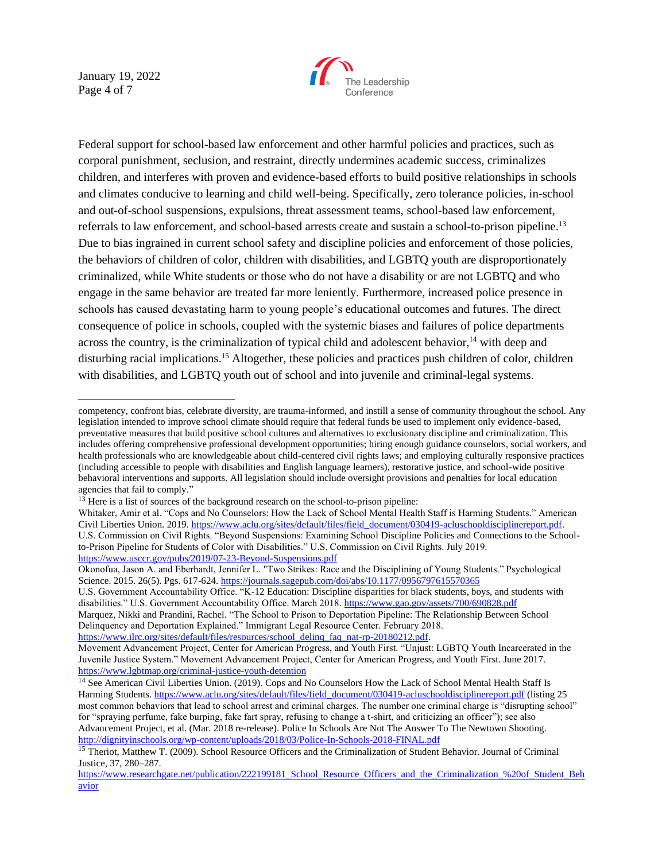January 19, 2022 Page 4 of 7



Federal support for school-based law enforcement and other harmful policies and practices, such as corporal punishment, seclusion, and restraint, directly undermines academic success, criminalizes children, and interferes with proven and evidence-based efforts to build positive relationships in schools and climates conducive to learning and child well-being. Specifically, zero tolerance policies, in-school and out-of-school suspensions, expulsions, threat assessment teams, school-based law enforcement, referrals to law enforcement, and school-based arrests create and sustain a school-to-prison pipeline.<sup>13</sup> Due to bias ingrained in current school safety and discipline policies and enforcement of those policies, the behaviors of children of color, children with disabilities, and LGBTQ youth are disproportionately criminalized, while White students or those who do not have a disability or are not LGBTQ and who engage in the same behavior are treated far more leniently. Furthermore, increased police presence in schools has caused devastating harm to young people's educational outcomes and futures. The direct consequence of police in schools, coupled with the systemic biases and failures of police departments across the country, is the criminalization of typical child and adolescent behavior,<sup>14</sup> with deep and disturbing racial implications.<sup>15</sup> Altogether, these policies and practices push children of color, children with disabilities, and LGBTQ youth out of school and into juvenile and criminal-legal systems.

U.S. Government Accountability Office. "K-12 Education: Discipline disparities for black students, boys, and students with disabilities." U.S. Government Accountability Office. March 2018[. https://www.gao.gov/assets/700/690828.pdf](https://www.gao.gov/assets/700/690828.pdf)

Marquez, Nikki and Prandini, Rachel. "The School to Prison to Deportation Pipeline: The Relationship Between School Delinquency and Deportation Explained." Immigrant Legal Resource Center. February 2018. [https://www.ilrc.org/sites/default/files/resources/school\\_delinq\\_faq\\_nat-rp-20180212.pdf.](https://www.ilrc.org/sites/default/files/resources/school_delinq_faq_nat-rp-20180212.pdf)

competency, confront bias, celebrate diversity, are trauma-informed, and instill a sense of community throughout the school. Any legislation intended to improve school climate should require that federal funds be used to implement only evidence-based, preventative measures that build positive school cultures and alternatives to exclusionary discipline and criminalization. This includes offering comprehensive professional development opportunities; hiring enough guidance counselors, social workers, and health professionals who are knowledgeable about child-centered civil rights laws; and employing culturally responsive practices (including accessible to people with disabilities and English language learners), restorative justice, and school-wide positive behavioral interventions and supports. All legislation should include oversight provisions and penalties for local education agencies that fail to comply."

 $13$  Here is a list of sources of the background research on the school-to-prison pipeline:

Whitaker, Amir et al. "Cops and No Counselors: How the Lack of School Mental Health Staff is Harming Students." American Civil Liberties Union. 2019. [https://www.aclu.org/sites/default/files/field\\_document/030419-acluschooldisciplinereport.pdf.](https://www.aclu.org/sites/default/files/field_document/030419-acluschooldisciplinereport.pdf) U.S. Commission on Civil Rights. "Beyond Suspensions: Examining School Discipline Policies and Connections to the Schoolto-Prison Pipeline for Students of Color with Disabilities." U.S. Commission on Civil Rights. July 2019. <https://www.usccr.gov/pubs/2019/07-23-Beyond-Suspensions.pdf>

Okonofua, Jason A. and Eberhardt, Jennifer L. "Two Strikes: Race and the Disciplining of Young Students." Psychological Science. 2015. 26(5). Pgs. 617-624.<https://journals.sagepub.com/doi/abs/10.1177/0956797615570365>

Movement Advancement Project, Center for American Progress, and Youth First. "Unjust: LGBTQ Youth Incarcerated in the Juvenile Justice System." Movement Advancement Project, Center for American Progress, and Youth First. June 2017. <https://www.lgbtmap.org/criminal-justice-youth-detention>

<sup>&</sup>lt;sup>14</sup> See American Civil Liberties Union. (2019). Cops and No Counselors How the Lack of School Mental Health Staff Is Harming Students. [https://www.aclu.org/sites/default/files/field\\_document/030419-acluschooldisciplinereport.pdf](https://www.aclu.org/sites/default/files/field_document/030419-acluschooldisciplinereport.pdf) (listing 25 most common behaviors that lead to school arrest and criminal charges. The number one criminal charge is "disrupting school" for "spraying perfume, fake burping, fake fart spray, refusing to change a t-shirt, and criticizing an officer"); see also Advancement Project, et al. (Mar. 2018 re-release). Police In Schools Are Not The Answer To The Newtown Shooting. <http://dignityinschools.org/wp-content/uploads/2018/03/Police-In-Schools-2018-FINAL.pdf>

<sup>&</sup>lt;sup>15</sup> Theriot, Matthew T. (2009). School Resource Officers and the Criminalization of Student Behavior. Journal of Criminal Justice, 37, 280–287.

[https://www.researchgate.net/publication/222199181\\_School\\_Resource\\_Officers\\_and\\_the\\_Criminalization\\_%20of\\_Student\\_Beh](https://www.researchgate.net/publication/222199181_School_Resource_Officers_and_the_Criminalization_%20of_Student_Behavior) [avior](https://www.researchgate.net/publication/222199181_School_Resource_Officers_and_the_Criminalization_%20of_Student_Behavior)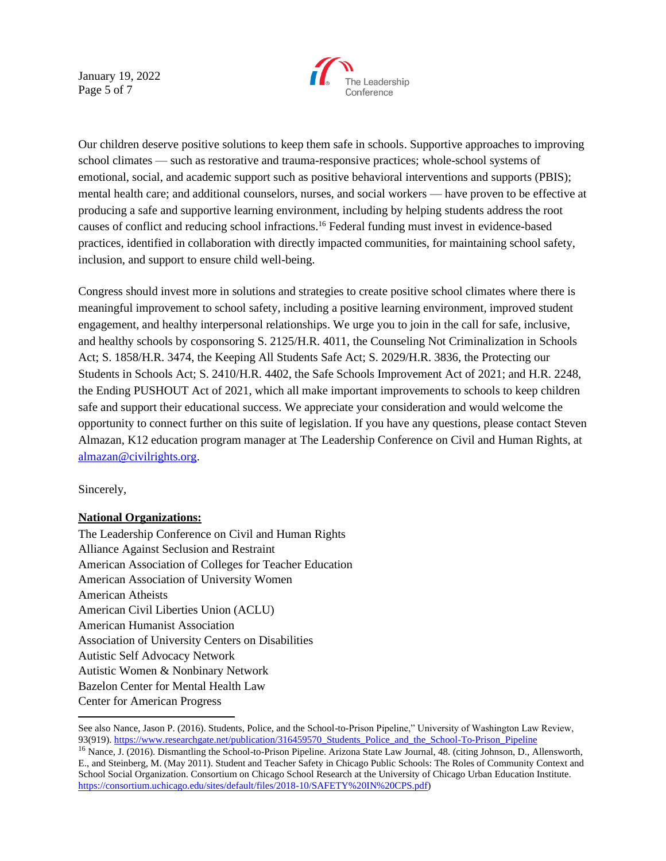January 19, 2022 Page 5 of 7



Our children deserve positive solutions to keep them safe in schools. Supportive approaches to improving school climates — such as restorative and trauma-responsive practices; whole-school systems of emotional, social, and academic support such as positive behavioral interventions and supports (PBIS); mental health care; and additional counselors, nurses, and social workers — have proven to be effective at producing a safe and supportive learning environment, including by helping students address the root causes of conflict and reducing school infractions.<sup>16</sup> Federal funding must invest in evidence-based practices, identified in collaboration with directly impacted communities, for maintaining school safety, inclusion, and support to ensure child well-being.

Congress should invest more in solutions and strategies to create positive school climates where there is meaningful improvement to school safety, including a positive learning environment, improved student engagement, and healthy interpersonal relationships. We urge you to join in the call for safe, inclusive, and healthy schools by cosponsoring S. 2125/H.R. 4011, the Counseling Not Criminalization in Schools Act; S. 1858/H.R. 3474, the Keeping All Students Safe Act; S. 2029/H.R. 3836, the Protecting our Students in Schools Act; S. 2410/H.R. 4402, the Safe Schools Improvement Act of 2021; and H.R. 2248, the Ending PUSHOUT Act of 2021, which all make important improvements to schools to keep children safe and support their educational success. We appreciate your consideration and would welcome the opportunity to connect further on this suite of legislation. If you have any questions, please contact Steven Almazan, K12 education program manager at The Leadership Conference on Civil and Human Rights, at [almazan@civilrights.org.](mailto:almazan@civilrights.org)

Sincerely,

## **National Organizations:**

The Leadership Conference on Civil and Human Rights Alliance Against Seclusion and Restraint American Association of Colleges for Teacher Education American Association of University Women American Atheists American Civil Liberties Union (ACLU) American Humanist Association Association of University Centers on Disabilities Autistic Self Advocacy Network Autistic Women & Nonbinary Network Bazelon Center for Mental Health Law Center for American Progress

See also Nance, Jason P. (2016). Students, Police, and the School-to-Prison Pipeline," University of Washington Law Review, 93(919). [https://www.researchgate.net/publication/316459570\\_Students\\_Police\\_and\\_the\\_School-To-Prison\\_Pipeline](https://www.researchgate.net/publication/316459570_Students_Police_and_the_School-To-Prison_Pipeline)

<sup>&</sup>lt;sup>16</sup> Nance, J. (2016). Dismantling the School-to-Prison Pipeline. Arizona State Law Journal, 48. (citing Johnson, D., Allensworth, E., and Steinberg, M. (May 2011). Student and Teacher Safety in Chicago Public Schools: The Roles of Community Context and School Social Organization. Consortium on Chicago School Research at the University of Chicago Urban Education Institute. [https://consortium.uchicago.edu/sites/default/files/2018-10/SAFETY%20IN%20CPS.pdf\)](https://consortium.uchicago.edu/sites/default/files/2018-10/SAFETY%20IN%20CPS.pdf)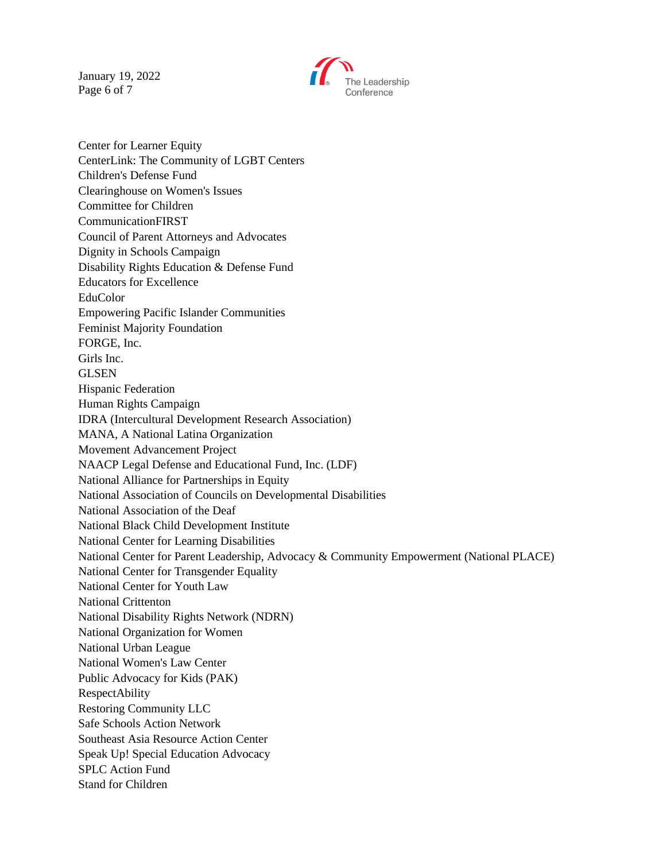January 19, 2022 Page 6 of 7



Center for Learner Equity CenterLink: The Community of LGBT Centers Children's Defense Fund Clearinghouse on Women's Issues Committee for Children CommunicationFIRST Council of Parent Attorneys and Advocates Dignity in Schools Campaign Disability Rights Education & Defense Fund Educators for Excellence EduColor Empowering Pacific Islander Communities Feminist Majority Foundation FORGE, Inc. Girls Inc. GLSEN Hispanic Federation Human Rights Campaign IDRA (Intercultural Development Research Association) MANA, A National Latina Organization Movement Advancement Project NAACP Legal Defense and Educational Fund, Inc. (LDF) National Alliance for Partnerships in Equity National Association of Councils on Developmental Disabilities National Association of the Deaf National Black Child Development Institute National Center for Learning Disabilities National Center for Parent Leadership, Advocacy & Community Empowerment (National PLACE) National Center for Transgender Equality National Center for Youth Law National Crittenton National Disability Rights Network (NDRN) National Organization for Women National Urban League National Women's Law Center Public Advocacy for Kids (PAK) RespectAbility Restoring Community LLC Safe Schools Action Network Southeast Asia Resource Action Center Speak Up! Special Education Advocacy SPLC Action Fund Stand for Children